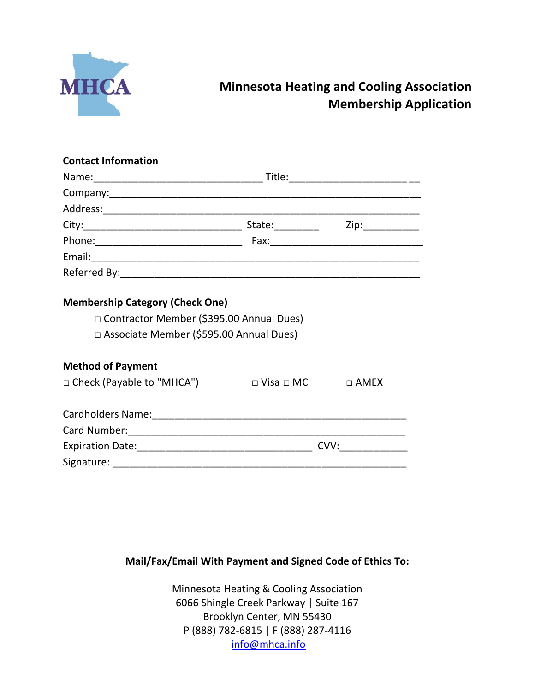

# **Minnesota Heating and Cooling Association Membership Application**

#### **Contact Information**

|                                                                                                                                   |                             | Title: _________________________ |  |
|-----------------------------------------------------------------------------------------------------------------------------------|-----------------------------|----------------------------------|--|
|                                                                                                                                   |                             |                                  |  |
|                                                                                                                                   |                             |                                  |  |
|                                                                                                                                   |                             | Zip:___________                  |  |
|                                                                                                                                   |                             |                                  |  |
|                                                                                                                                   |                             |                                  |  |
|                                                                                                                                   |                             |                                  |  |
| <b>Membership Category (Check One)</b><br>□ Contractor Member (\$395.00 Annual Dues)<br>□ Associate Member (\$595.00 Annual Dues) |                             |                                  |  |
| <b>Method of Payment</b>                                                                                                          |                             |                                  |  |
| □ Check (Payable to "MHCA")                                                                                                       | $\square$ Visa $\square$ MC | $\Box$ AMEX                      |  |
|                                                                                                                                   |                             |                                  |  |
|                                                                                                                                   |                             |                                  |  |
|                                                                                                                                   |                             |                                  |  |
|                                                                                                                                   |                             |                                  |  |

## **Mail/Fax/Email With Payment and Signed Code of Ethics To:**

Minnesota Heating & Cooling Association 6066 Shingle Creek Parkway | Suite 167 Brooklyn Center, MN 55430 P (888) 782-6815 | F (888) 287-4116 [info@mhca.info](mailto:info@mhca.info)